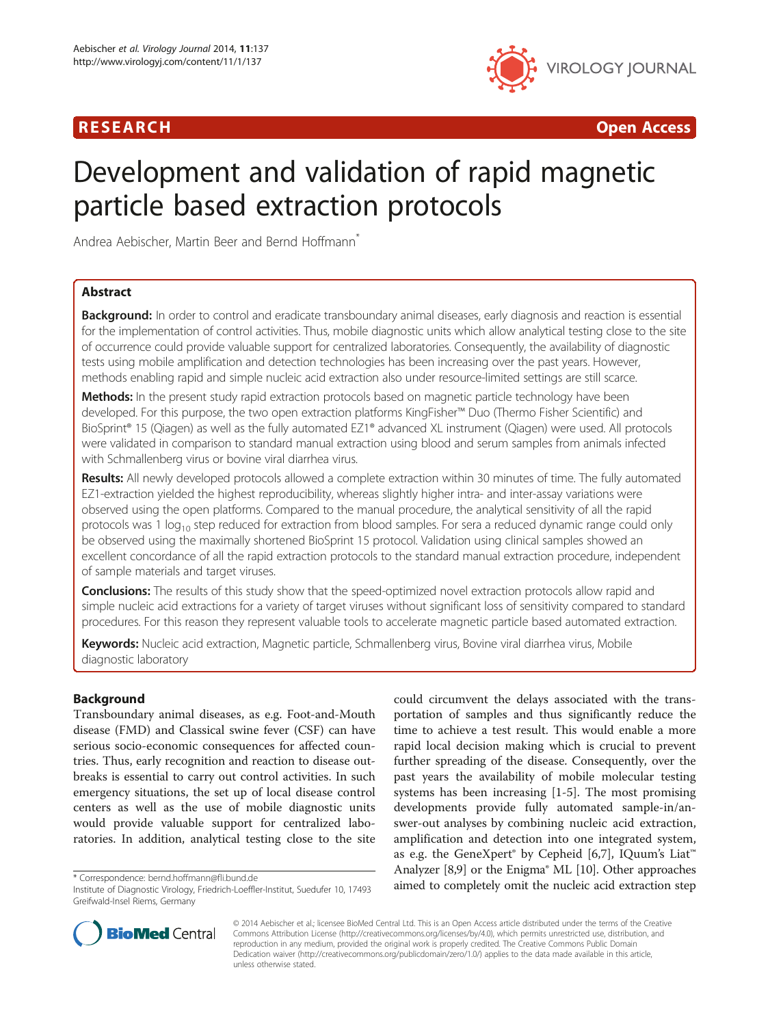# R E S EAR CH Open Access



# Development and validation of rapid magnetic particle based extraction protocols

Andrea Aebischer, Martin Beer and Bernd Hoffmann<sup>®</sup>

# Abstract

Background: In order to control and eradicate transboundary animal diseases, early diagnosis and reaction is essential for the implementation of control activities. Thus, mobile diagnostic units which allow analytical testing close to the site of occurrence could provide valuable support for centralized laboratories. Consequently, the availability of diagnostic tests using mobile amplification and detection technologies has been increasing over the past years. However, methods enabling rapid and simple nucleic acid extraction also under resource-limited settings are still scarce.

Methods: In the present study rapid extraction protocols based on magnetic particle technology have been developed. For this purpose, the two open extraction platforms KingFisher™ Duo (Thermo Fisher Scientific) and BioSprint® 15 (Qiagen) as well as the fully automated EZ1® advanced XL instrument (Qiagen) were used. All protocols were validated in comparison to standard manual extraction using blood and serum samples from animals infected with Schmallenberg virus or bovine viral diarrhea virus.

Results: All newly developed protocols allowed a complete extraction within 30 minutes of time. The fully automated EZ1-extraction yielded the highest reproducibility, whereas slightly higher intra- and inter-assay variations were observed using the open platforms. Compared to the manual procedure, the analytical sensitivity of all the rapid protocols was 1  $log_{10}$  step reduced for extraction from blood samples. For sera a reduced dynamic range could only be observed using the maximally shortened BioSprint 15 protocol. Validation using clinical samples showed an excellent concordance of all the rapid extraction protocols to the standard manual extraction procedure, independent of sample materials and target viruses.

**Conclusions:** The results of this study show that the speed-optimized novel extraction protocols allow rapid and simple nucleic acid extractions for a variety of target viruses without significant loss of sensitivity compared to standard procedures. For this reason they represent valuable tools to accelerate magnetic particle based automated extraction.

Keywords: Nucleic acid extraction, Magnetic particle, Schmallenberg virus, Bovine viral diarrhea virus, Mobile diagnostic laboratory

# Background

Transboundary animal diseases, as e.g. Foot-and-Mouth disease (FMD) and Classical swine fever (CSF) can have serious socio-economic consequences for affected countries. Thus, early recognition and reaction to disease outbreaks is essential to carry out control activities. In such emergency situations, the set up of local disease control centers as well as the use of mobile diagnostic units would provide valuable support for centralized laboratories. In addition, analytical testing close to the site

could circumvent the delays associated with the transportation of samples and thus significantly reduce the time to achieve a test result. This would enable a more rapid local decision making which is crucial to prevent further spreading of the disease. Consequently, over the past years the availability of mobile molecular testing systems has been increasing [\[1-5](#page-7-0)]. The most promising developments provide fully automated sample-in/answer-out analyses by combining nucleic acid extraction, amplification and detection into one integrated system, as e.g. the GeneXpert® by Cepheid [[6,7\]](#page-7-0), IQuum's Liat<sup>™</sup> Analyzer [\[8,9](#page-7-0)] or the Enigma® ML [[10](#page-7-0)]. Other approaches \* Correspondence: [bernd.hoffmann@fli.bund.de](mailto:bernd.hoffmann@fli.bund.de)<br>Institute of Diagnostic Virology Friedrich-Loeffler-Institut Suedufer 10, 17493 aimed to completely omit the nucleic acid extraction step



© 2014 Aebischer et al.; licensee BioMed Central Ltd. This is an Open Access article distributed under the terms of the Creative Commons Attribution License [\(http://creativecommons.org/licenses/by/4.0\)](http://creativecommons.org/licenses/by/4.0), which permits unrestricted use, distribution, and reproduction in any medium, provided the original work is properly credited. The Creative Commons Public Domain Dedication waiver [\(http://creativecommons.org/publicdomain/zero/1.0/](http://creativecommons.org/publicdomain/zero/1.0/)) applies to the data made available in this article, unless otherwise stated.

Institute of Diagnostic Virology, Friedrich-Loeffler-Institut, Suedufer 10, 17493 Greifwald-Insel Riems, Germany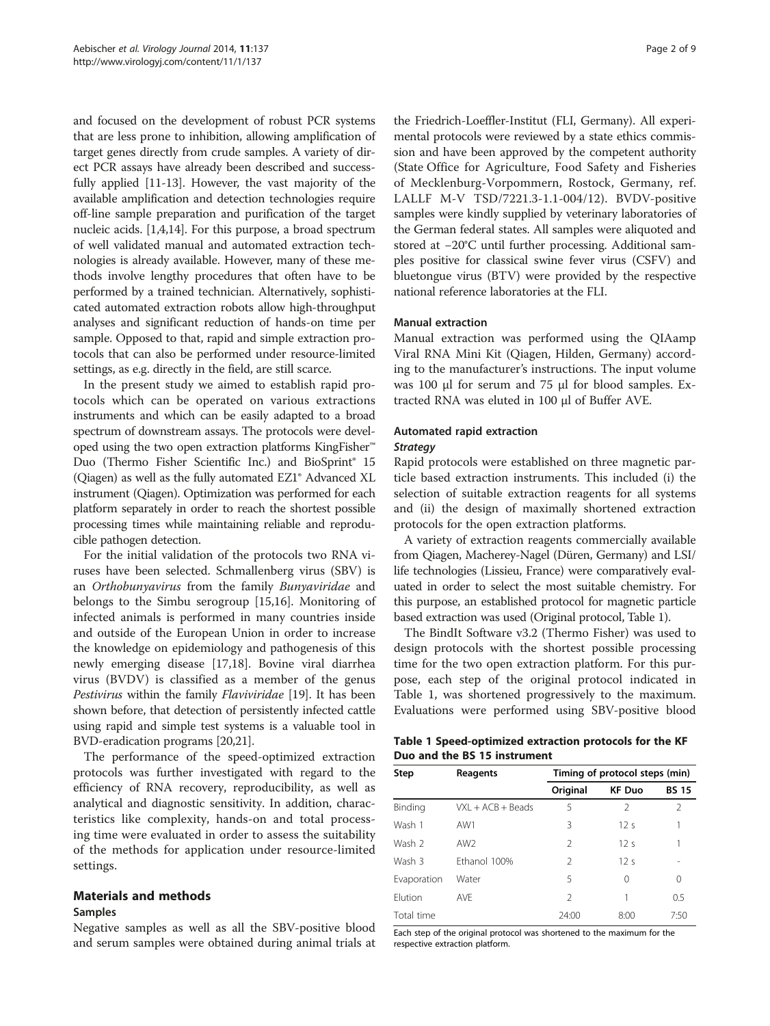<span id="page-1-0"></span>and focused on the development of robust PCR systems that are less prone to inhibition, allowing amplification of target genes directly from crude samples. A variety of direct PCR assays have already been described and successfully applied [\[11-13](#page-7-0)]. However, the vast majority of the available amplification and detection technologies require off-line sample preparation and purification of the target nucleic acids. [\[1,4,14\]](#page-7-0). For this purpose, a broad spectrum of well validated manual and automated extraction technologies is already available. However, many of these methods involve lengthy procedures that often have to be performed by a trained technician. Alternatively, sophisticated automated extraction robots allow high-throughput analyses and significant reduction of hands-on time per sample. Opposed to that, rapid and simple extraction protocols that can also be performed under resource-limited settings, as e.g. directly in the field, are still scarce.

In the present study we aimed to establish rapid protocols which can be operated on various extractions instruments and which can be easily adapted to a broad spectrum of downstream assays. The protocols were developed using the two open extraction platforms KingFisher™ Duo (Thermo Fisher Scientific Inc.) and BioSprint® 15 (Qiagen) as well as the fully automated EZ1® Advanced XL instrument (Qiagen). Optimization was performed for each platform separately in order to reach the shortest possible processing times while maintaining reliable and reproducible pathogen detection.

For the initial validation of the protocols two RNA viruses have been selected. Schmallenberg virus (SBV) is an Orthobunyavirus from the family Bunyaviridae and belongs to the Simbu serogroup [\[15,16\]](#page-7-0). Monitoring of infected animals is performed in many countries inside and outside of the European Union in order to increase the knowledge on epidemiology and pathogenesis of this newly emerging disease [\[17,18\]](#page-7-0). Bovine viral diarrhea virus (BVDV) is classified as a member of the genus Pestivirus within the family Flaviviridae [\[19\]](#page-7-0). It has been shown before, that detection of persistently infected cattle using rapid and simple test systems is a valuable tool in BVD-eradication programs [\[20,21\]](#page-8-0).

The performance of the speed-optimized extraction protocols was further investigated with regard to the efficiency of RNA recovery, reproducibility, as well as analytical and diagnostic sensitivity. In addition, characteristics like complexity, hands-on and total processing time were evaluated in order to assess the suitability of the methods for application under resource-limited settings.

# Materials and methods

# Samples

Negative samples as well as all the SBV-positive blood and serum samples were obtained during animal trials at

the Friedrich-Loeffler-Institut (FLI, Germany). All experimental protocols were reviewed by a state ethics commission and have been approved by the competent authority (State Office for Agriculture, Food Safety and Fisheries of Mecklenburg-Vorpommern, Rostock, Germany, ref. LALLF M-V TSD/7221.3-1.1-004/12). BVDV-positive samples were kindly supplied by veterinary laboratories of the German federal states. All samples were aliquoted and stored at −20°C until further processing. Additional samples positive for classical swine fever virus (CSFV) and bluetongue virus (BTV) were provided by the respective national reference laboratories at the FLI.

# Manual extraction

Manual extraction was performed using the QIAamp Viral RNA Mini Kit (Qiagen, Hilden, Germany) according to the manufacturer's instructions. The input volume was 100 μl for serum and 75 μl for blood samples. Extracted RNA was eluted in 100 μl of Buffer AVE.

# Automated rapid extraction

Rapid protocols were established on three magnetic particle based extraction instruments. This included (i) the selection of suitable extraction reagents for all systems and (ii) the design of maximally shortened extraction protocols for the open extraction platforms.

A variety of extraction reagents commercially available from Qiagen, Macherey-Nagel (Düren, Germany) and LSI/ life technologies (Lissieu, France) were comparatively evaluated in order to select the most suitable chemistry. For this purpose, an established protocol for magnetic particle based extraction was used (Original protocol, Table 1).

The BindIt Software v3.2 (Thermo Fisher) was used to design protocols with the shortest possible processing time for the two open extraction platform. For this purpose, each step of the original protocol indicated in Table 1, was shortened progressively to the maximum. Evaluations were performed using SBV-positive blood

| Table 1 Speed-optimized extraction protocols for the KF |  |
|---------------------------------------------------------|--|
| Duo and the BS 15 instrument                            |  |

| Step        | Reagents            | Timing of protocol steps (min) |                 |              |  |
|-------------|---------------------|--------------------------------|-----------------|--------------|--|
|             |                     | Original                       | <b>KF Duo</b>   | <b>BS 15</b> |  |
| Binding     | $VXI + ACB + Beads$ | 5                              | 2               | 2            |  |
| Wash 1      | AW1                 | 3                              | 12s             | 1            |  |
| Wash 2      | AW <sub>2</sub>     | $\mathfrak{D}$                 | 12 <sub>s</sub> | 1            |  |
| Wash 3      | Fthanol 100%        | $\mathfrak{D}$                 | 12 <sub>s</sub> |              |  |
| Evaporation | Water               | 5                              | 0               | 0            |  |
| Flution     | AVF                 | 2                              |                 | 0.5          |  |
| Total time  |                     | 24:00                          | 8:00            | 7:50         |  |

Each step of the original protocol was shortened to the maximum for the respective extraction platform.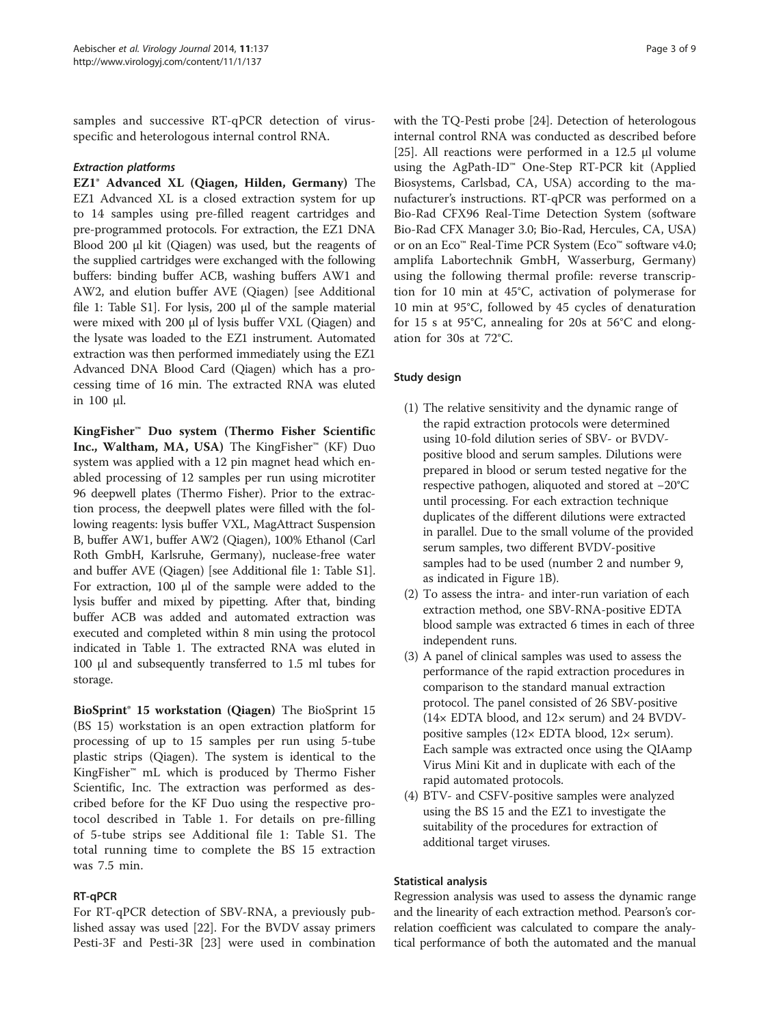samples and successive RT-qPCR detection of virusspecific and heterologous internal control RNA.

EZ1<sup>®</sup> Advanced XL (Qiagen, Hilden, Germany) The EZ1 Advanced XL is a closed extraction system for up to 14 samples using pre-filled reagent cartridges and pre-programmed protocols. For extraction, the EZ1 DNA Blood 200 μl kit (Qiagen) was used, but the reagents of the supplied cartridges were exchanged with the following buffers: binding buffer ACB, washing buffers AW1 and AW2, and elution buffer AVE (Qiagen) [see Additional file [1](#page-7-0): Table S1]. For lysis, 200 μl of the sample material were mixed with 200 μl of lysis buffer VXL (Qiagen) and the lysate was loaded to the EZ1 instrument. Automated extraction was then performed immediately using the EZ1 Advanced DNA Blood Card (Qiagen) which has a processing time of 16 min. The extracted RNA was eluted in 100 μl.

KingFisher™ Duo system (Thermo Fisher Scientific Inc., Waltham, MA, USA) The KingFisher™ (KF) Duo system was applied with a 12 pin magnet head which enabled processing of 12 samples per run using microtiter 96 deepwell plates (Thermo Fisher). Prior to the extraction process, the deepwell plates were filled with the following reagents: lysis buffer VXL, MagAttract Suspension B, buffer AW1, buffer AW2 (Qiagen), 100% Ethanol (Carl Roth GmbH, Karlsruhe, Germany), nuclease-free water and buffer AVE (Qiagen) [see Additional file [1](#page-7-0): Table S1]. For extraction, 100 μl of the sample were added to the lysis buffer and mixed by pipetting. After that, binding buffer ACB was added and automated extraction was executed and completed within 8 min using the protocol indicated in Table [1](#page-1-0). The extracted RNA was eluted in 100 μl and subsequently transferred to 1.5 ml tubes for storage.

BioSprint® 15 workstation (Qiagen) The BioSprint 15 (BS 15) workstation is an open extraction platform for processing of up to 15 samples per run using 5-tube plastic strips (Qiagen). The system is identical to the KingFisher™ mL which is produced by Thermo Fisher Scientific, Inc. The extraction was performed as described before for the KF Duo using the respective protocol described in Table [1](#page-1-0). For details on pre-filling of 5-tube strips see Additional file [1](#page-7-0): Table S1. The total running time to complete the BS 15 extraction was 7.5 min.

# RT-qPCR

For RT-qPCR detection of SBV-RNA, a previously published assay was used [[22](#page-8-0)]. For the BVDV assay primers Pesti-3F and Pesti-3R [\[23](#page-8-0)] were used in combination

with the TQ-Pesti probe [\[24](#page-8-0)]. Detection of heterologous internal control RNA was conducted as described before [[25\]](#page-8-0). All reactions were performed in a 12.5 μl volume using the AgPath-ID™ One-Step RT-PCR kit (Applied Biosystems, Carlsbad, CA, USA) according to the manufacturer's instructions. RT-qPCR was performed on a Bio-Rad CFX96 Real-Time Detection System (software Bio-Rad CFX Manager 3.0; Bio-Rad, Hercules, CA, USA) or on an Eco™ Real-Time PCR System (Eco™ software v4.0; amplifa Labortechnik GmbH, Wasserburg, Germany) using the following thermal profile: reverse transcription for 10 min at 45°C, activation of polymerase for 10 min at 95°C, followed by 45 cycles of denaturation for 15 s at 95°C, annealing for 20s at 56°C and elongation for 30s at 72°C.

# Study design

- (1) The relative sensitivity and the dynamic range of the rapid extraction protocols were determined using 10-fold dilution series of SBV- or BVDVpositive blood and serum samples. Dilutions were prepared in blood or serum tested negative for the respective pathogen, aliquoted and stored at −20°C until processing. For each extraction technique duplicates of the different dilutions were extracted in parallel. Due to the small volume of the provided serum samples, two different BVDV-positive samples had to be used (number 2 and number 9, as indicated in Figure [1B](#page-3-0)).
- (2) To assess the intra- and inter-run variation of each extraction method, one SBV-RNA-positive EDTA blood sample was extracted 6 times in each of three independent runs.
- (3) A panel of clinical samples was used to assess the performance of the rapid extraction procedures in comparison to the standard manual extraction protocol. The panel consisted of 26 SBV-positive (14× EDTA blood, and 12× serum) and 24 BVDVpositive samples (12× EDTA blood, 12× serum). Each sample was extracted once using the QIAamp Virus Mini Kit and in duplicate with each of the rapid automated protocols.
- (4) BTV- and CSFV-positive samples were analyzed using the BS 15 and the EZ1 to investigate the suitability of the procedures for extraction of additional target viruses.

# Statistical analysis

Regression analysis was used to assess the dynamic range and the linearity of each extraction method. Pearson's correlation coefficient was calculated to compare the analytical performance of both the automated and the manual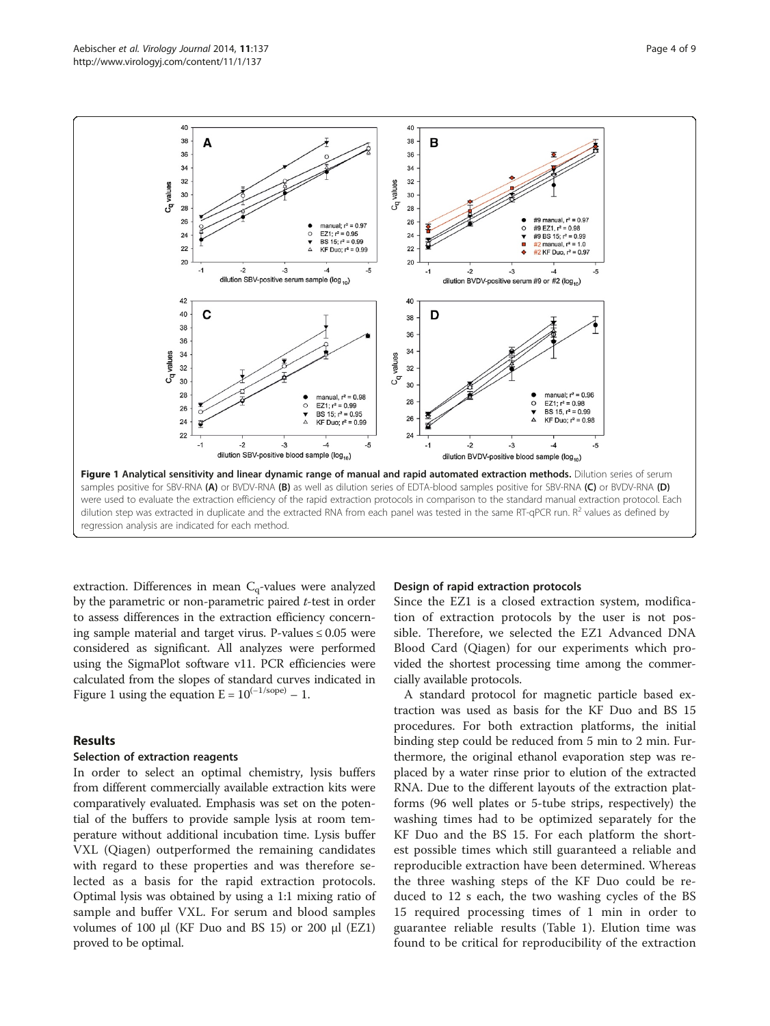<span id="page-3-0"></span>

extraction. Differences in mean  $C_q$ -values were analyzed by the parametric or non-parametric paired  $t$ -test in order to assess differences in the extraction efficiency concerning sample material and target virus. P-values  $\leq 0.05$  were considered as significant. All analyzes were performed using the SigmaPlot software v11. PCR efficiencies were calculated from the slopes of standard curves indicated in Figure 1 using the equation  $E = 10^{(-1/\text{sope})} - 1$ .

#### Results

### Selection of extraction reagents

In order to select an optimal chemistry, lysis buffers from different commercially available extraction kits were comparatively evaluated. Emphasis was set on the potential of the buffers to provide sample lysis at room temperature without additional incubation time. Lysis buffer VXL (Qiagen) outperformed the remaining candidates with regard to these properties and was therefore selected as a basis for the rapid extraction protocols. Optimal lysis was obtained by using a 1:1 mixing ratio of sample and buffer VXL. For serum and blood samples volumes of 100 μl (KF Duo and BS 15) or 200 μl (EZ1) proved to be optimal.

#### Design of rapid extraction protocols

Since the EZ1 is a closed extraction system, modification of extraction protocols by the user is not possible. Therefore, we selected the EZ1 Advanced DNA Blood Card (Qiagen) for our experiments which provided the shortest processing time among the commercially available protocols.

A standard protocol for magnetic particle based extraction was used as basis for the KF Duo and BS 15 procedures. For both extraction platforms, the initial binding step could be reduced from 5 min to 2 min. Furthermore, the original ethanol evaporation step was replaced by a water rinse prior to elution of the extracted RNA. Due to the different layouts of the extraction platforms (96 well plates or 5-tube strips, respectively) the washing times had to be optimized separately for the KF Duo and the BS 15. For each platform the shortest possible times which still guaranteed a reliable and reproducible extraction have been determined. Whereas the three washing steps of the KF Duo could be reduced to 12 s each, the two washing cycles of the BS 15 required processing times of 1 min in order to guarantee reliable results (Table [1](#page-1-0)). Elution time was found to be critical for reproducibility of the extraction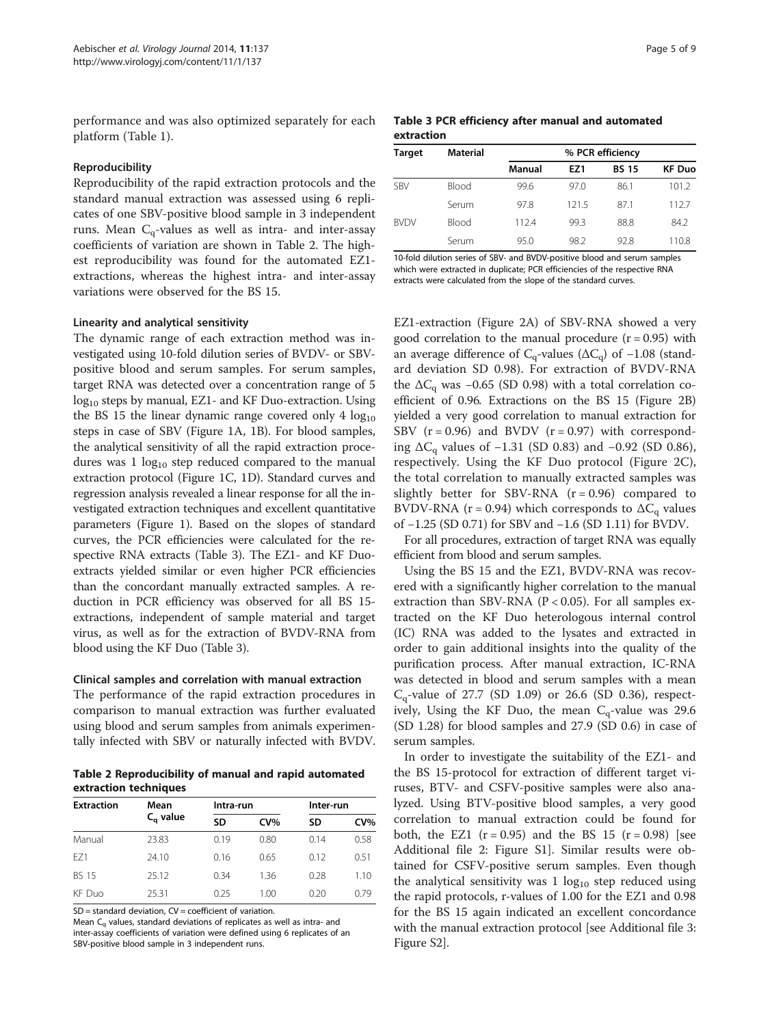performance and was also optimized separately for each platform (Table [1\)](#page-1-0).

#### Reproducibility

Reproducibility of the rapid extraction protocols and the standard manual extraction was assessed using 6 replicates of one SBV-positive blood sample in 3 independent runs. Mean  $C_q$ -values as well as intra- and inter-assay coefficients of variation are shown in Table 2. The highest reproducibility was found for the automated EZ1 extractions, whereas the highest intra- and inter-assay variations were observed for the BS 15.

#### Linearity and analytical sensitivity

The dynamic range of each extraction method was investigated using 10-fold dilution series of BVDV- or SBVpositive blood and serum samples. For serum samples, target RNA was detected over a concentration range of 5  $log_{10}$  steps by manual, EZ1- and KF Duo-extraction. Using the BS 15 the linear dynamic range covered only 4  $log_{10}$ steps in case of SBV (Figure [1A](#page-3-0), 1B). For blood samples, the analytical sensitivity of all the rapid extraction procedures was  $1 \log_{10}$  step reduced compared to the manual extraction protocol (Figure [1](#page-3-0)C, 1D). Standard curves and regression analysis revealed a linear response for all the investigated extraction techniques and excellent quantitative parameters (Figure [1\)](#page-3-0). Based on the slopes of standard curves, the PCR efficiencies were calculated for the respective RNA extracts (Table 3). The EZ1- and KF Duoextracts yielded similar or even higher PCR efficiencies than the concordant manually extracted samples. A reduction in PCR efficiency was observed for all BS 15 extractions, independent of sample material and target virus, as well as for the extraction of BVDV-RNA from blood using the KF Duo (Table 3).

#### Clinical samples and correlation with manual extraction

The performance of the rapid extraction procedures in comparison to manual extraction was further evaluated using blood and serum samples from animals experimentally infected with SBV or naturally infected with BVDV.

Table 2 Reproducibility of manual and rapid automated extraction techniques

| <b>Extraction</b> | Mean<br>$C_{\alpha}$ value | Intra-run |        | Inter-run |        |
|-------------------|----------------------------|-----------|--------|-----------|--------|
|                   |                            | SD        | $CV\%$ | SD        | $CV\%$ |
| Manual            | 23.83                      | 0.19      | 0.80   | 0.14      | 0.58   |
| F71               | 24.10                      | 0.16      | 0.65   | 0.12      | 0.51   |
| <b>BS 15</b>      | 25.12                      | 0.34      | 1.36   | 0.28      | 1.10   |
| KF Duo            | 25.31                      | 0.25      | 1.00   | 0.20      | 0.79   |

 $SD = standard deviation$ ,  $CV = coefficient of variation$ .

Mean  $C_q$  values, standard deviations of replicates as well as intra- and inter-assay coefficients of variation were defined using 6 replicates of an SBV-positive blood sample in 3 independent runs.

#### Table 3 PCR efficiency after manual and automated extraction

| <b>Target</b> | <b>Material</b> | % PCR efficiency |       |              |               |
|---------------|-----------------|------------------|-------|--------------|---------------|
|               |                 | Manual           | EZ1   | <b>BS 15</b> | <b>KF Duo</b> |
| <b>SBV</b>    | Blood           | 99.6             | 97.0  | 86.1         | 101.2         |
|               | Serum           | 97.8             | 121.5 | 87.1         | 112.7         |
| <b>BVDV</b>   | Blood           | 112.4            | 99.3  | 88.8         | 84.2          |
|               | Serum           | 95.0             | 98.2  | 92.8         | 110.8         |

10-fold dilution series of SBV- and BVDV-positive blood and serum samples which were extracted in duplicate; PCR efficiencies of the respective RNA extracts were calculated from the slope of the standard curves.

EZ1-extraction (Figure [2A](#page-5-0)) of SBV-RNA showed a very good correlation to the manual procedure  $(r = 0.95)$  with an average difference of  $C_q$ -values ( $\Delta C_q$ ) of -1.08 (standard deviation SD 0.98). For extraction of BVDV-RNA the  $\Delta C_{q}$  was -0.65 (SD 0.98) with a total correlation coefficient of 0.96. Extractions on the BS 15 (Figure [2B](#page-5-0)) yielded a very good correlation to manual extraction for SBV  $(r = 0.96)$  and BVDV  $(r = 0.97)$  with corresponding  $\Delta C_{\alpha}$  values of −1.31 (SD 0.83) and −0.92 (SD 0.86), respectively. Using the KF Duo protocol (Figure [2](#page-5-0)C), the total correlation to manually extracted samples was slightly better for SBV-RNA  $(r = 0.96)$  compared to BVDV-RNA ( $r = 0.94$ ) which corresponds to  $\Delta C_q$  values of −1.25 (SD 0.71) for SBV and −1.6 (SD 1.11) for BVDV.

For all procedures, extraction of target RNA was equally efficient from blood and serum samples.

Using the BS 15 and the EZ1, BVDV-RNA was recovered with a significantly higher correlation to the manual extraction than SBV-RNA ( $P < 0.05$ ). For all samples extracted on the KF Duo heterologous internal control (IC) RNA was added to the lysates and extracted in order to gain additional insights into the quality of the purification process. After manual extraction, IC-RNA was detected in blood and serum samples with a mean  $C_q$ -value of 27.7 (SD 1.09) or 26.6 (SD 0.36), respectively, Using the KF Duo, the mean  $C_q$ -value was 29.6 (SD 1.28) for blood samples and 27.9 (SD 0.6) in case of serum samples.

In order to investigate the suitability of the EZ1- and the BS 15-protocol for extraction of different target viruses, BTV- and CSFV-positive samples were also analyzed. Using BTV-positive blood samples, a very good correlation to manual extraction could be found for both, the EZ1 ( $r = 0.95$ ) and the BS 15 ( $r = 0.98$ ) [see Additional file [2:](#page-7-0) Figure S1]. Similar results were obtained for CSFV-positive serum samples. Even though the analytical sensitivity was  $1 \log_{10}$  step reduced using the rapid protocols, r-values of 1.00 for the EZ1 and 0.98 for the BS 15 again indicated an excellent concordance with the manual extraction protocol [see Additional file [3](#page-7-0): Figure S2].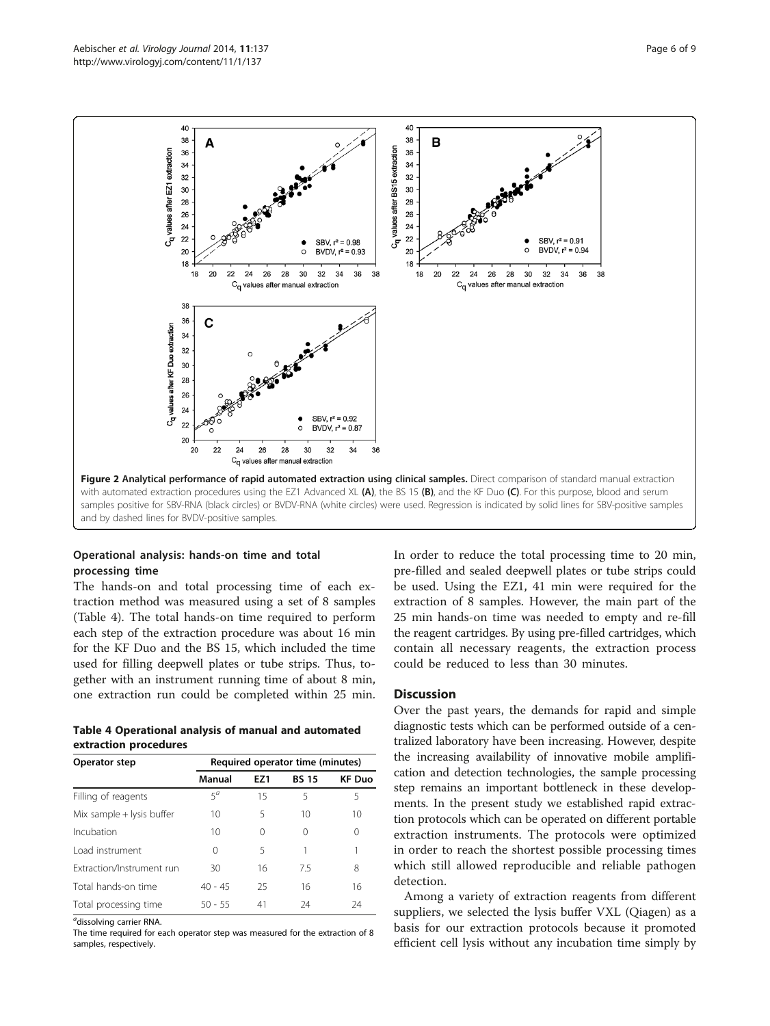<span id="page-5-0"></span>

# Operational analysis: hands-on time and total processing time

The hands-on and total processing time of each extraction method was measured using a set of 8 samples (Table 4). The total hands-on time required to perform each step of the extraction procedure was about 16 min for the KF Duo and the BS 15, which included the time used for filling deepwell plates or tube strips. Thus, together with an instrument running time of about 8 min, one extraction run could be completed within 25 min.

Table 4 Operational analysis of manual and automated extraction procedures

| Operator step               | Required operator time (minutes) |          |              |               |  |
|-----------------------------|----------------------------------|----------|--------------|---------------|--|
|                             | Manual                           | EZ1      | <b>BS 15</b> | <b>KF Duo</b> |  |
| Filling of reagents         | $5^a$                            | 15       | 5            | 5             |  |
| Mix sample $+$ lysis buffer | 10                               | 5        | 10           | 10            |  |
| Incubation                  | 10                               | $\Omega$ | 0            | 0             |  |
| Load instrument             | 0                                | 5        |              | 1             |  |
| Extraction/Instrument run   | 30                               | 16       | 7.5          | 8             |  |
| Total hands-on time         | $40 - 45$                        | 25       | 16           | 16            |  |
| Total processing time       | $50 - 55$                        | 41       | 24           | 24            |  |

<sup>a</sup>dissolving carrier RNA.

The time required for each operator step was measured for the extraction of 8 samples, respectively.

In order to reduce the total processing time to 20 min, pre-filled and sealed deepwell plates or tube strips could be used. Using the EZ1, 41 min were required for the extraction of 8 samples. However, the main part of the 25 min hands-on time was needed to empty and re-fill the reagent cartridges. By using pre-filled cartridges, which contain all necessary reagents, the extraction process could be reduced to less than 30 minutes.

#### **Discussion**

Over the past years, the demands for rapid and simple diagnostic tests which can be performed outside of a centralized laboratory have been increasing. However, despite the increasing availability of innovative mobile amplification and detection technologies, the sample processing step remains an important bottleneck in these developments. In the present study we established rapid extraction protocols which can be operated on different portable extraction instruments. The protocols were optimized in order to reach the shortest possible processing times which still allowed reproducible and reliable pathogen detection.

Among a variety of extraction reagents from different suppliers, we selected the lysis buffer VXL (Qiagen) as a basis for our extraction protocols because it promoted efficient cell lysis without any incubation time simply by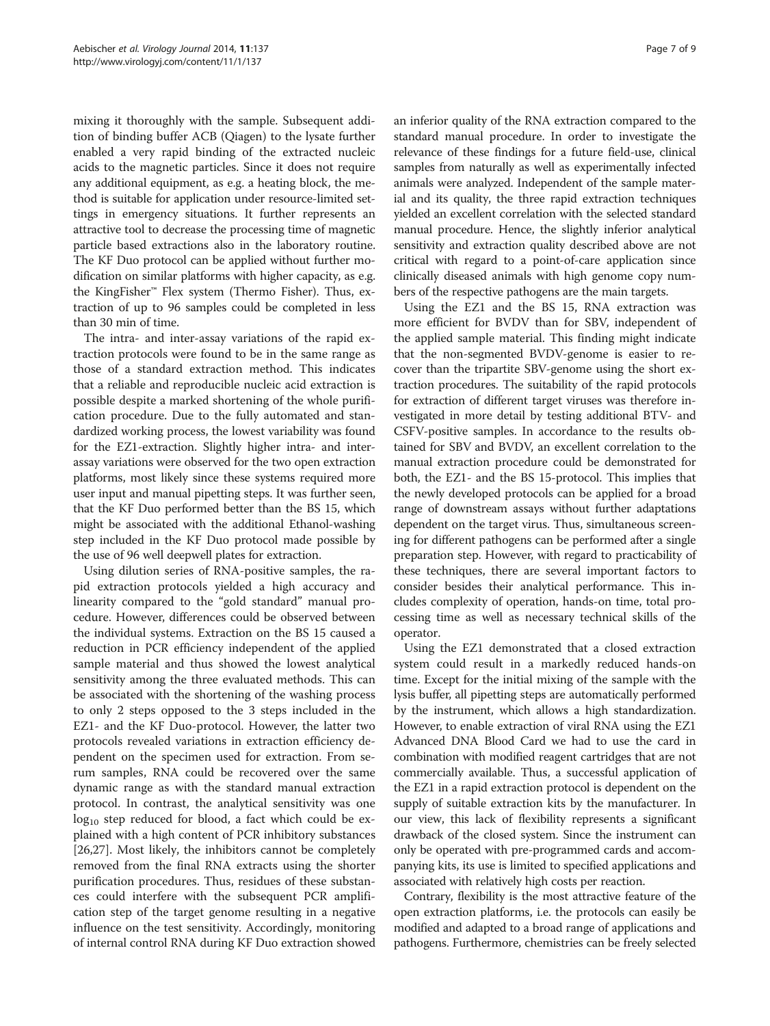mixing it thoroughly with the sample. Subsequent addition of binding buffer ACB (Qiagen) to the lysate further enabled a very rapid binding of the extracted nucleic acids to the magnetic particles. Since it does not require any additional equipment, as e.g. a heating block, the method is suitable for application under resource-limited settings in emergency situations. It further represents an attractive tool to decrease the processing time of magnetic particle based extractions also in the laboratory routine. The KF Duo protocol can be applied without further modification on similar platforms with higher capacity, as e.g. the KingFisher™ Flex system (Thermo Fisher). Thus, extraction of up to 96 samples could be completed in less than 30 min of time.

The intra- and inter-assay variations of the rapid extraction protocols were found to be in the same range as those of a standard extraction method. This indicates that a reliable and reproducible nucleic acid extraction is possible despite a marked shortening of the whole purification procedure. Due to the fully automated and standardized working process, the lowest variability was found for the EZ1-extraction. Slightly higher intra- and interassay variations were observed for the two open extraction platforms, most likely since these systems required more user input and manual pipetting steps. It was further seen, that the KF Duo performed better than the BS 15, which might be associated with the additional Ethanol-washing step included in the KF Duo protocol made possible by the use of 96 well deepwell plates for extraction.

Using dilution series of RNA-positive samples, the rapid extraction protocols yielded a high accuracy and linearity compared to the "gold standard" manual procedure. However, differences could be observed between the individual systems. Extraction on the BS 15 caused a reduction in PCR efficiency independent of the applied sample material and thus showed the lowest analytical sensitivity among the three evaluated methods. This can be associated with the shortening of the washing process to only 2 steps opposed to the 3 steps included in the EZ1- and the KF Duo-protocol. However, the latter two protocols revealed variations in extraction efficiency dependent on the specimen used for extraction. From serum samples, RNA could be recovered over the same dynamic range as with the standard manual extraction protocol. In contrast, the analytical sensitivity was one  $log_{10}$  step reduced for blood, a fact which could be explained with a high content of PCR inhibitory substances [[26,27\]](#page-8-0). Most likely, the inhibitors cannot be completely removed from the final RNA extracts using the shorter purification procedures. Thus, residues of these substances could interfere with the subsequent PCR amplification step of the target genome resulting in a negative influence on the test sensitivity. Accordingly, monitoring of internal control RNA during KF Duo extraction showed

an inferior quality of the RNA extraction compared to the standard manual procedure. In order to investigate the relevance of these findings for a future field-use, clinical samples from naturally as well as experimentally infected animals were analyzed. Independent of the sample material and its quality, the three rapid extraction techniques yielded an excellent correlation with the selected standard manual procedure. Hence, the slightly inferior analytical sensitivity and extraction quality described above are not critical with regard to a point-of-care application since clinically diseased animals with high genome copy numbers of the respective pathogens are the main targets.

Using the EZ1 and the BS 15, RNA extraction was more efficient for BVDV than for SBV, independent of the applied sample material. This finding might indicate that the non-segmented BVDV-genome is easier to recover than the tripartite SBV-genome using the short extraction procedures. The suitability of the rapid protocols for extraction of different target viruses was therefore investigated in more detail by testing additional BTV- and CSFV-positive samples. In accordance to the results obtained for SBV and BVDV, an excellent correlation to the manual extraction procedure could be demonstrated for both, the EZ1- and the BS 15-protocol. This implies that the newly developed protocols can be applied for a broad range of downstream assays without further adaptations dependent on the target virus. Thus, simultaneous screening for different pathogens can be performed after a single preparation step. However, with regard to practicability of these techniques, there are several important factors to consider besides their analytical performance. This includes complexity of operation, hands-on time, total processing time as well as necessary technical skills of the operator.

Using the EZ1 demonstrated that a closed extraction system could result in a markedly reduced hands-on time. Except for the initial mixing of the sample with the lysis buffer, all pipetting steps are automatically performed by the instrument, which allows a high standardization. However, to enable extraction of viral RNA using the EZ1 Advanced DNA Blood Card we had to use the card in combination with modified reagent cartridges that are not commercially available. Thus, a successful application of the EZ1 in a rapid extraction protocol is dependent on the supply of suitable extraction kits by the manufacturer. In our view, this lack of flexibility represents a significant drawback of the closed system. Since the instrument can only be operated with pre-programmed cards and accompanying kits, its use is limited to specified applications and associated with relatively high costs per reaction.

Contrary, flexibility is the most attractive feature of the open extraction platforms, i.e. the protocols can easily be modified and adapted to a broad range of applications and pathogens. Furthermore, chemistries can be freely selected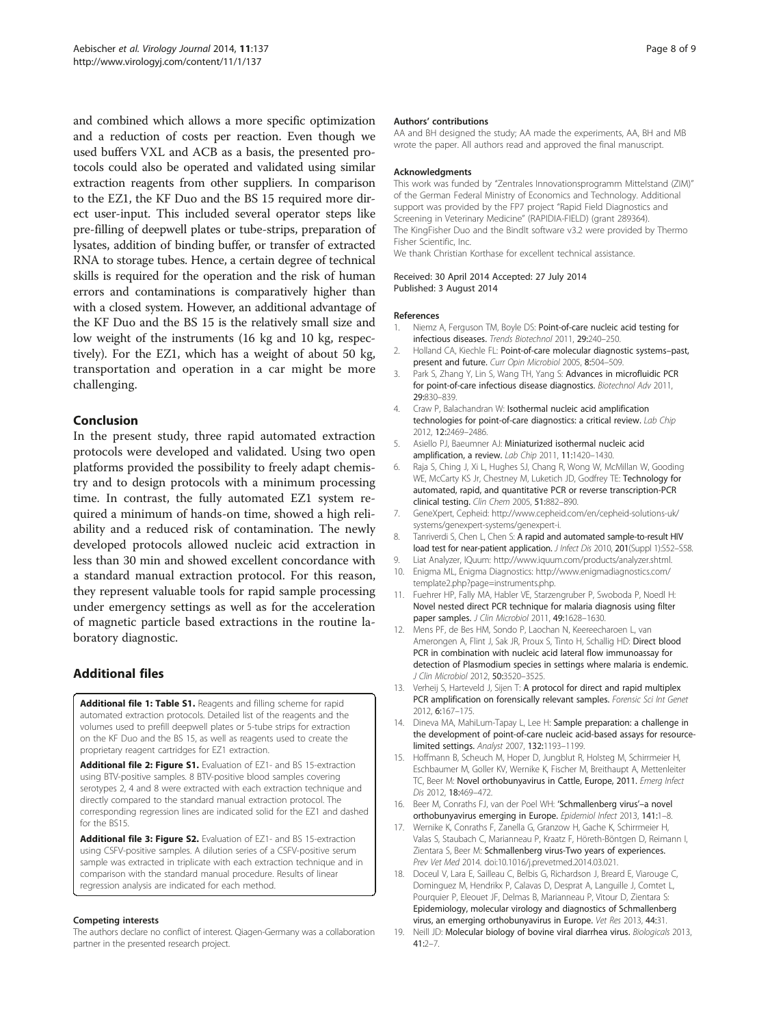<span id="page-7-0"></span>and combined which allows a more specific optimization and a reduction of costs per reaction. Even though we used buffers VXL and ACB as a basis, the presented protocols could also be operated and validated using similar extraction reagents from other suppliers. In comparison to the EZ1, the KF Duo and the BS 15 required more direct user-input. This included several operator steps like pre-filling of deepwell plates or tube-strips, preparation of lysates, addition of binding buffer, or transfer of extracted RNA to storage tubes. Hence, a certain degree of technical skills is required for the operation and the risk of human errors and contaminations is comparatively higher than with a closed system. However, an additional advantage of the KF Duo and the BS 15 is the relatively small size and low weight of the instruments (16 kg and 10 kg, respectively). For the EZ1, which has a weight of about 50 kg, transportation and operation in a car might be more challenging.

# Conclusion

In the present study, three rapid automated extraction protocols were developed and validated. Using two open platforms provided the possibility to freely adapt chemistry and to design protocols with a minimum processing time. In contrast, the fully automated EZ1 system required a minimum of hands-on time, showed a high reliability and a reduced risk of contamination. The newly developed protocols allowed nucleic acid extraction in less than 30 min and showed excellent concordance with a standard manual extraction protocol. For this reason, they represent valuable tools for rapid sample processing under emergency settings as well as for the acceleration of magnetic particle based extractions in the routine laboratory diagnostic.

# Additional files

[Additional file 1: Table S1.](http://www.biomedcentral.com/content/supplementary/1743-422X-11-137-S1.docx) Reagents and filling scheme for rapid automated extraction protocols. Detailed list of the reagents and the volumes used to prefill deepwell plates or 5-tube strips for extraction on the KF Duo and the BS 15, as well as reagents used to create the proprietary reagent cartridges for EZ1 extraction.

[Additional file 2: Figure S1.](http://www.biomedcentral.com/content/supplementary/1743-422X-11-137-S2.tiff) Evaluation of EZ1- and BS 15-extraction using BTV-positive samples. 8 BTV-positive blood samples covering serotypes 2, 4 and 8 were extracted with each extraction technique and directly compared to the standard manual extraction protocol. The corresponding regression lines are indicated solid for the EZ1 and dashed for the BS15.

[Additional file 3: Figure S2.](http://www.biomedcentral.com/content/supplementary/1743-422X-11-137-S3.tiff) Evaluation of EZ1- and BS 15-extraction using CSFV-positive samples. A dilution series of a CSFV-positive serum sample was extracted in triplicate with each extraction technique and in comparison with the standard manual procedure. Results of linear regression analysis are indicated for each method.

#### Competing interests

The authors declare no conflict of interest. Qiagen-Germany was a collaboration partner in the presented research project.

#### Authors' contributions

AA and BH designed the study; AA made the experiments, AA, BH and MB wrote the paper. All authors read and approved the final manuscript.

#### Acknowledgments

This work was funded by "Zentrales Innovationsprogramm Mittelstand (ZIM)" of the German Federal Ministry of Economics and Technology. Additional support was provided by the FP7 project "Rapid Field Diagnostics and Screening in Veterinary Medicine" (RAPIDIA-FIELD) (grant 289364). The KingFisher Duo and the BindIt software v3.2 were provided by Thermo Fisher Scientific, Inc.

We thank Christian Korthase for excellent technical assistance.

#### Received: 30 April 2014 Accepted: 27 July 2014 Published: 3 August 2014

#### References

- Niemz A, Ferguson TM, Boyle DS: Point-of-care nucleic acid testing for infectious diseases. Trends Biotechnol 2011, 29:240–250.
- 2. Holland CA, Kiechle FL: Point-of-care molecular diagnostic systems-past, present and future. Curr Opin Microbiol 2005, 8:504-509.
- 3. Park S, Zhang Y, Lin S, Wang TH, Yang S: Advances in microfluidic PCR for point-of-care infectious disease diagnostics. Biotechnol Adv 2011, 29:830–839.
- 4. Craw P, Balachandran W: Isothermal nucleic acid amplification technologies for point-of-care diagnostics: a critical review. Lab Chip 2012, 12:2469–2486.
- 5. Asiello PJ, Baeumner AJ: Miniaturized isothermal nucleic acid amplification, a review. Lab Chip 2011, 11:1420–1430.
- 6. Raja S, Ching J, Xi L, Hughes SJ, Chang R, Wong W, McMillan W, Gooding WE, McCarty KS Jr, Chestney M, Luketich JD, Godfrey TE: Technology for automated, rapid, and quantitative PCR or reverse transcription-PCR clinical testing. Clin Chem 2005, 51:882–890.
- 7. GeneXpert, Cepheid: [http://www.cepheid.com/en/cepheid-solutions-uk/](http://www.cepheid.com/en/cepheid-solutions-uk/systems/genexpert-systems/genexpert-i) [systems/genexpert-systems/genexpert-i.](http://www.cepheid.com/en/cepheid-solutions-uk/systems/genexpert-systems/genexpert-i)
- 8. Tanriverdi S, Chen L, Chen S: A rapid and automated sample-to-result HIV load test for near-patient application. J Infect Dis 2010, 201(Suppl 1):S52-S58.
- Liat Analyzer, IQuum: [http://www.iquum.com/products/analyzer.shtml.](http://www.iquum.com/products/analyzer.shtml)
- 10. Enigma ML, Enigma Diagnostics: [http://www.enigmadiagnostics.com/](http://www.enigmadiagnostics.com/template2.php?page=instruments.php) [template2.php?page=instruments.php.](http://www.enigmadiagnostics.com/template2.php?page=instruments.php)
- 11. Fuehrer HP, Fally MA, Habler VE, Starzengruber P, Swoboda P, Noedl H: Novel nested direct PCR technique for malaria diagnosis using filter paper samples. J Clin Microbiol 2011, 49:1628-1630.
- 12. Mens PF, de Bes HM, Sondo P, Laochan N, Keereecharoen L, van Amerongen A, Flint J, Sak JR, Proux S, Tinto H, Schallig HD: Direct blood PCR in combination with nucleic acid lateral flow immunoassay for detection of Plasmodium species in settings where malaria is endemic. J Clin Microbiol 2012, 50:3520-3525.
- 13. Verheij S, Harteveld J, Sijen T: A protocol for direct and rapid multiplex PCR amplification on forensically relevant samples. Forensic Sci Int Genet 2012, 6:167–175.
- 14. Dineva MA, MahiLum-Tapay L, Lee H: Sample preparation: a challenge in the development of point-of-care nucleic acid-based assays for resourcelimited settings. Analyst 2007, 132:1193–1199.
- 15. Hoffmann B, Scheuch M, Hoper D, Jungblut R, Holsteg M, Schirrmeier H, Eschbaumer M, Goller KV, Wernike K, Fischer M, Breithaupt A, Mettenleiter TC, Beer M: Novel orthobunyavirus in Cattle, Europe, 2011. Emerg Infect Dis 2012, 18:469–472.
- 16. Beer M, Conraths FJ, van der Poel WH: 'Schmallenberg virus'–a novel orthobunyavirus emerging in Europe. Epidemiol Infect 2013, 141:1–8.
- 17. Wernike K, Conraths F, Zanella G, Granzow H, Gache K, Schirrmeier H, Valas S, Staubach C, Marianneau P, Kraatz F, Höreth-Böntgen D, Reimann I, Zientara S, Beer M: Schmallenberg virus-Two years of experiences. Prev Vet Med 2014. doi:10.1016/j.prevetmed.2014.03.021.
- 18. Doceul V, Lara E, Sailleau C, Belbis G, Richardson J, Breard E, Viarouge C, Dominguez M, Hendrikx P, Calavas D, Desprat A, Languille J, Comtet L, Pourquier P, Eleouet JF, Delmas B, Marianneau P, Vitour D, Zientara S: Epidemiology, molecular virology and diagnostics of Schmallenberg virus, an emerging orthobunyavirus in Europe. Vet Res 2013, 44:31.
- 19. Neill JD: Molecular biology of bovine viral diarrhea virus. Biologicals 2013, 41:2–7.